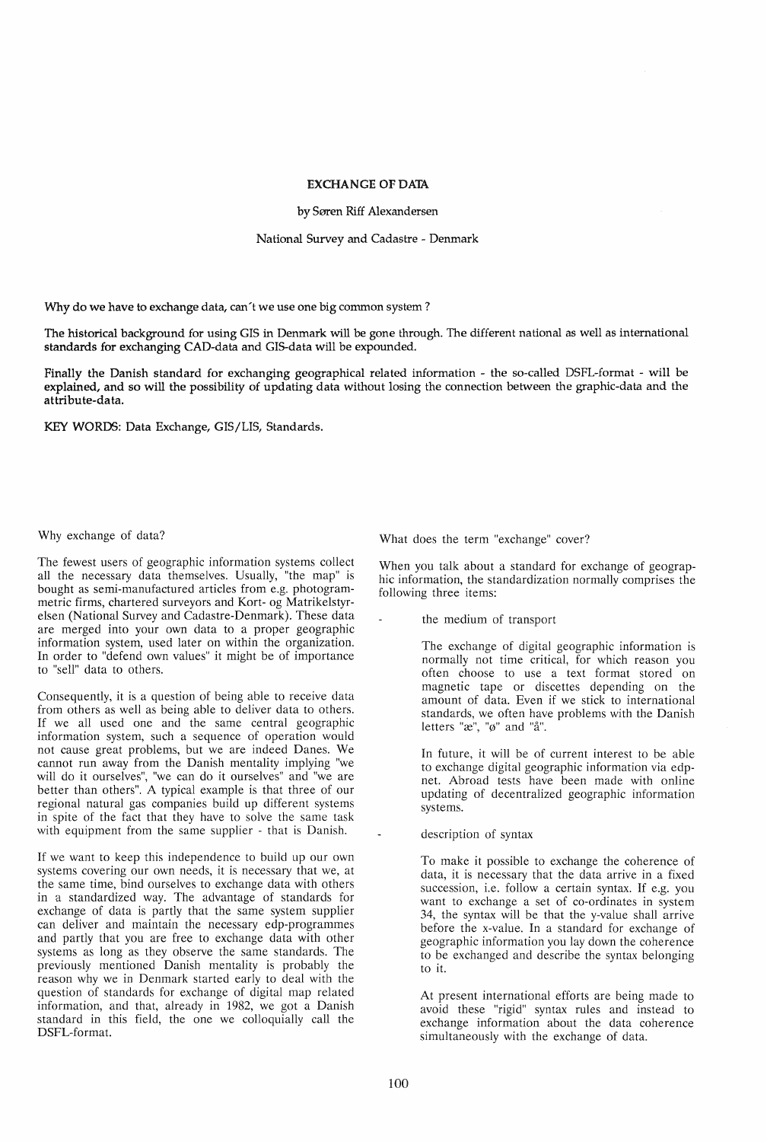## EXCHANGE OF DATA

by Søren Riff Alexandersen

National Survey and Cadastre - Denmark

Why do we have to exchange data, can't we use one big common system?

The historical background for using GIS in Denmark will be gone through. The different national as well as international standards for exchanging CAD-data and GIS-data will be expounded.

Finally the Danish standard for exchanging geographical related information - the so-called DSFL-format - will be explained, and so will the possibility of updating data without losing the connection between the graphic-data and the attribute-data.

KEY WORDS: Data Exchange, GIS/LIS, Standards.

## Why exchange of data?

The fewest users of geographic information systems collect all the necessary data themselves. Usually, "the map" is bought as semi-manufactured articles from e.g. photogrammetric firms, chartered surveyors and Kort- og Matrikelstyrelsen (National Survey and Cadastre-Denmark). These data are merged into your own data to a proper geographic information system, used later on within the organization. In order to "defend own values" it might be of importance to "sell" data to others.

Consequently, it is a question of being able to receive data from others as well as being able to deliver data to others. If we all used one and the same central geographic information system, such a sequence of operation would not cause great problems, but we are indeed Danes. We cannot run away from the Danish mentality implying "we will do it ourselves", "we can do it ourselves" and "we are better than others". A typical example is that three of our regional natural gas companies build up different systems in spite of the fact that they have to solve the same task with equipment from the same supplier - that is Danish.

If we want to keep this independence to build up our own systems covering our own needs, it is necessary that we, at the same time, bind ourselves to exchange data with others in a standardized way. The advantage of standards for exchange of data is partly that the same system supplier can deliver and maintain the necessary edp-programmes and partly that you are free to exchange data with other systems as long as they observe the same standards. The previously mentioned Danish mentality is probably the reason why we in Denmark started early to deal with the question of standards for exchange of digital map related information, and that, already in 1982, we got a Damsh standard in this field, the one we colloquially call the DSFL-format.

What does the term "exchange" cover?

When you talk about a standard for exchange of geographic information, the standardization normally comprises the following three items:

the medium of transport

The exchange of digital geographic information is normally not time critical, for which reason you often choose to use a text format stored on magnetic tape or discettes depending on the amount of data. Even if we stick to international standards, we often have problems with the Danish letters " $\mathcal{X}$ ", " $\emptyset$ " and "å".

In future, it will be of current interest to be able to exchange digital geographic information via edpnet. Abroad tests have been made with online updating of decentralized geographic information systems.

description of syntax

To make it possible to exchange the coherence of data, it is necessary that the data arrive in a fixed succession, i.e. follow a certain syntax. If e.g. you want to exchange a set of co-ordinates in system 34, the syntax will be that the y-value shall arrive before the x-value. In a standard for exchange of geographic information you lay down the coherence to be exchanged and describe the syntax belonging to it.

At present international efforts are being made to avoid these "rigid" syntax rules and instead to exchange information about the data coherence simultaneously with the exchange of data.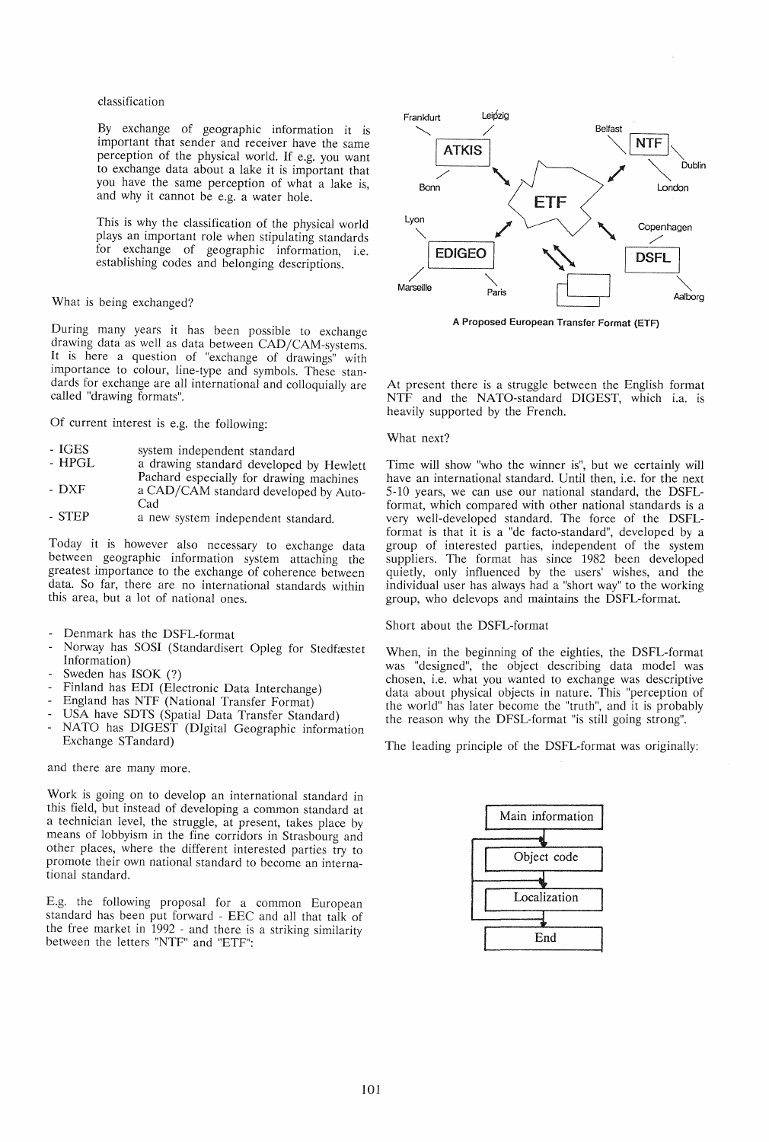classification

By exchange of geographic information it is important that sender and receiver have the same perception of the physical world. If e.g. you want to exchange data about a lake it is important that you have the same perception of what a lake is, and why it cannot be e.g. a water hole.

This is why the classification of the physical world plays an important role when stipulating standards for exchange of geographic information, i.e. establishing codes and belonging descriptions.

What is being exchanged?

During many years it has been possible to exchange drawing data as well as data between CAD/CAM-systems. It is here a question of "exchange of drawings" with importance to colour, line-type and symbols. These standards for exchange are all international and colloquially are called "drawing formats".

Of current interest is e.g. the following:

- 
- IGES system independent standard<br>- HPGL a drawing standard developed by Hewlett
- DXF Pachard especially for drawing machines a CAD/CAM standard developed by Auto-
- Cad
- STEP a new system independent standard.

Today it is however also necessary to exchange data between geographic information system attaching the greatest importance to the exchange of coherence between data. So far, there are no international standards within this area, but a lot of national ones.

- Denmark has the DSFL-format
- Norway has SOSI (Standardisert Opleg for Stedfæstet Information)
- Sweden has ISOK (?)
- Finland has EDI (Electronic Data Interchange)
- England has NTF (National Transfer Format)
- USA have SDTS (Spatial Data Transfer Standard)
- NATO has DIGEST (DIgital Geographic information Exchange STandard)

and there are many more.

Work is going on to develop an international standard in this field, but instead of developing a common standard at a technician level, the struggle, at present, takes place by means of lobbyism in the fine corridors in Strasbourg and other places, where the different interested parties try to promote their own national standard to become an international standard.

E.g. the following proposal for a common European standard has been put forward - EEC and all that talk of the free market in 1992 - and there is a striking similarity between the letters "NTF" and "ETF":



A Proposed European Transfer Format (ETF)

At present there is a struggle between the English format NTF and the NATO-standard DIGEST, which i.a. is heavily supported by the French.

## What next?

Time will show "who the winner is", but we certainly will have an international standard. Until then, i.e. for the next 5-10 years, we can use our national standard, the DSFLformat, which compared with other national standards is a very well-developed standard. The force of the DSFLformat is that it is a "de facto-standard", developed by a group of interested parties, independent of the system suppliers. The format has since 1982 been developed quietly, only influenced by the users' wishes, and the individual user has always had a "short way" to the working group, who delevops and maintains the DSFL-format.

## Short about the DSFL-format

When, in the beginning of the eighties, the DSFL-format was "designed", the object describing data model was chosen, i.e. what you wanted to exchange was descriptive data about physical objects in nature. This "perception of the world" has later become the "truth", and it is probably the reason why the DFSL-format "is still going strong".

The leading principle of the DSFL-format was originally:

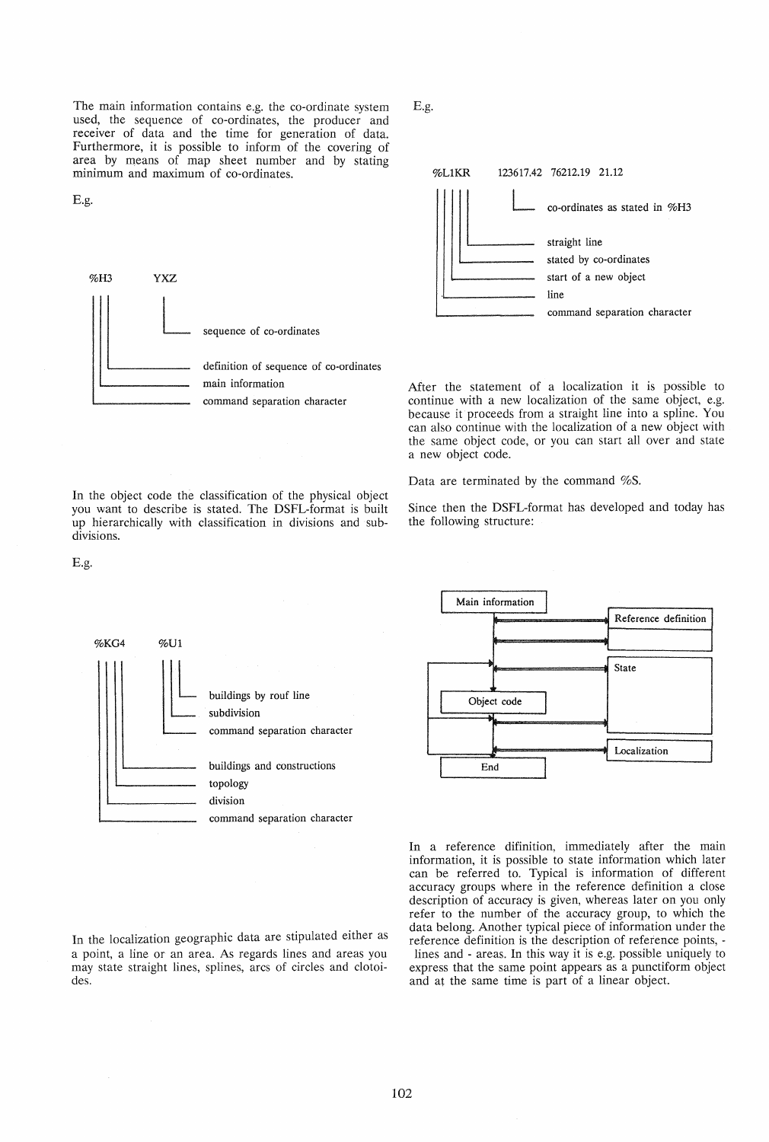The main information contains e.g. the co-ordinate system used, the sequence of co-ordinates, the producer and receiver of data and the time for generation of data. Furthermore, it is possible to inform of the covering of area by means of map sheet number and by stating minimum and maximum of co-ordinates.

E.g.



In the object code the classification of the physical object you want to describe is stated. The DSFL-format is built up hierarchically with classification in divisions and subE.g.



After the statement of a localization it is possible to continue with a new localization of the same object, e.g. because it proceeds from a straight line into a spline. You can also continue with the localization of a new object with the same object code, or you can start all over and state a new object code.

Data are terminated by the command %S.

Since then the DSFL-format has developed and today has the following structure:



In the localization geographic data are stipulated either as a point, a line or an area. As regards lines and areas you may state straight lines, splines, arcs of circles and clotoides.



In a reference difinition, immediately after the main information, it is possible to state information which later can be referred to. Typical is information of different accuracy groups where in the reference definition a close description of accuracy is given, whereas later on you only refer to the number of the accuracy group, to which the data belong. Another typical piece of information under the reference definition is the description of reference points, lines and - areas. In this way it is e.g. possible uniquely to express that the same point appears as a punctiform object and at the same time is part of a linear object.

E.g.

divisions.